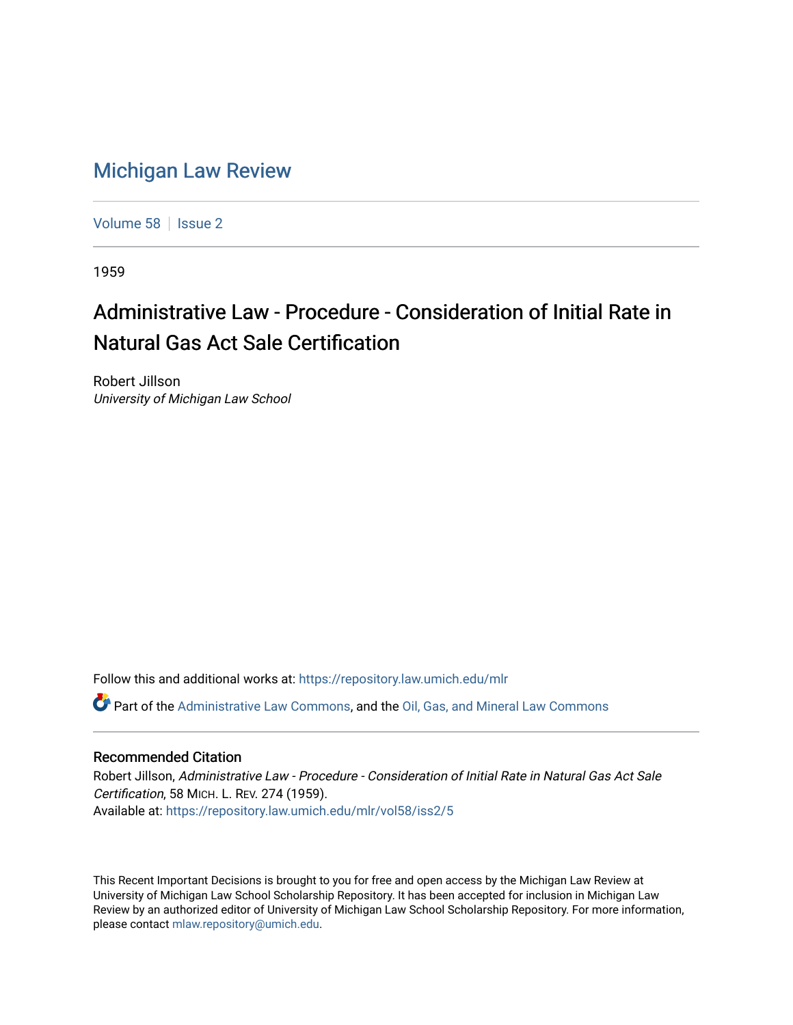## [Michigan Law Review](https://repository.law.umich.edu/mlr)

[Volume 58](https://repository.law.umich.edu/mlr/vol58) | [Issue 2](https://repository.law.umich.edu/mlr/vol58/iss2)

1959

## Administrative Law - Procedure - Consideration of Initial Rate in Natural Gas Act Sale Certification

Robert Jillson University of Michigan Law School

Follow this and additional works at: [https://repository.law.umich.edu/mlr](https://repository.law.umich.edu/mlr?utm_source=repository.law.umich.edu%2Fmlr%2Fvol58%2Fiss2%2F5&utm_medium=PDF&utm_campaign=PDFCoverPages) 

Part of the [Administrative Law Commons,](http://network.bepress.com/hgg/discipline/579?utm_source=repository.law.umich.edu%2Fmlr%2Fvol58%2Fiss2%2F5&utm_medium=PDF&utm_campaign=PDFCoverPages) and the [Oil, Gas, and Mineral Law Commons](http://network.bepress.com/hgg/discipline/864?utm_source=repository.law.umich.edu%2Fmlr%2Fvol58%2Fiss2%2F5&utm_medium=PDF&utm_campaign=PDFCoverPages)

## Recommended Citation

Robert Jillson, Administrative Law - Procedure - Consideration of Initial Rate in Natural Gas Act Sale Certification, 58 MICH. L. REV. 274 (1959). Available at: [https://repository.law.umich.edu/mlr/vol58/iss2/5](https://repository.law.umich.edu/mlr/vol58/iss2/5?utm_source=repository.law.umich.edu%2Fmlr%2Fvol58%2Fiss2%2F5&utm_medium=PDF&utm_campaign=PDFCoverPages)

This Recent Important Decisions is brought to you for free and open access by the Michigan Law Review at University of Michigan Law School Scholarship Repository. It has been accepted for inclusion in Michigan Law Review by an authorized editor of University of Michigan Law School Scholarship Repository. For more information, please contact [mlaw.repository@umich.edu.](mailto:mlaw.repository@umich.edu)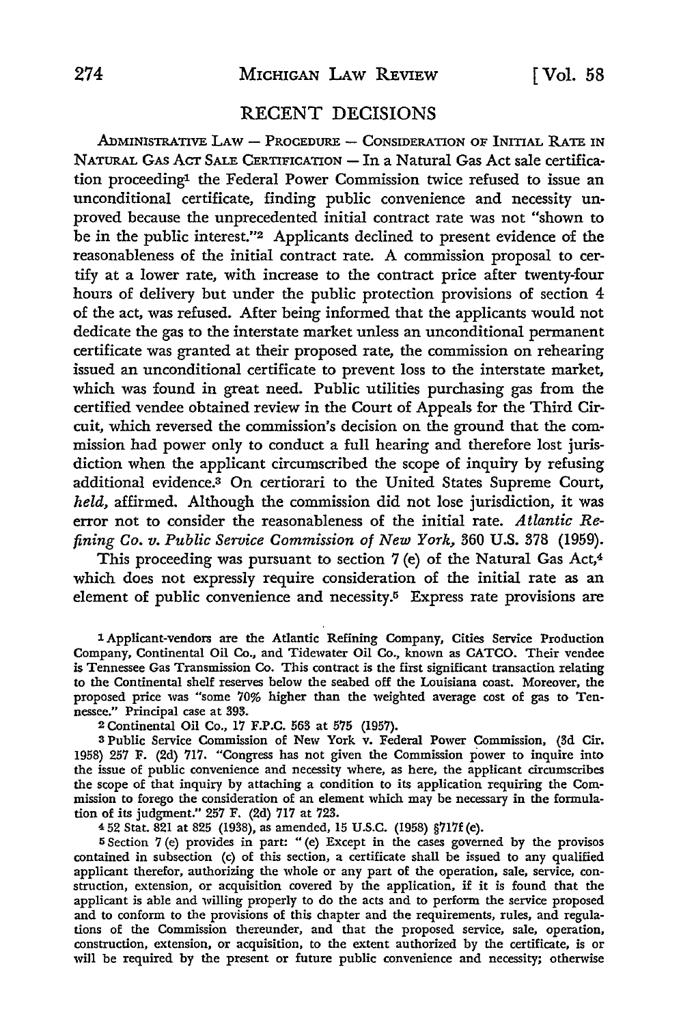## RECENT DECISIONS

ADMINISTRATIVE LAW - PROCEDURE - CONSIDERATION OF INITIAL RATE IN NATURAL GAS ACT SALE CERTIFICATION - In a Natural Gas Act sale certification proceeding1 the Federal Power Commission twice refused to issue an unconditional certificate, finding public convenience and necessity unproved because the unprecedented initial contract rate was not "shown to be in the public interest."2 Applicants declined to present evidence of the reasonableness of the initial contract rate. A commission proposal to certify at a lower rate, with increase to the contract price after twenty-four hours of delivery but under the public protection provisions of section 4 of the act, was refused. After being informed that the applicants would not dedicate the gas to the interstate market unless an unconditional permanent certificate was granted at their proposed rate, the commission on rehearing issued an unconditional certificate to prevent loss to the interstate market, which was found in great need. Public utilities purchasing gas from the certified vendee obtained review in the Court of Appeals for the Third Circuit, which reversed the commission's decision on the ground that the commission had power only to conduct a full hearing and therefore lost jurisdiction when the applicant circumscribed the scope of inquiry by refusing additional evidence.<sup>3</sup> On certiorari to the United States Supreme Court, *held,* affirmed. Although the commission did not lose jurisdiction, it was error not to consider the reasonableness of the initial rate. *Atlantic Refining Co. v. Public Service Commission of New York,* 360 U.S. 378 (1959).

This proceeding was pursuant to section 7 (e) of the Natural Gas Act,<sup>4</sup> which does not expressly require consideration of the initial rate as an element of public convenience and necessity.5 Express rate provisions are

1 Applicant-vendors are the Atlantic Refining Company, Cities Service Production Company, Continental Oil Co., and Tidewater Oil Co., known as CATCO. Their vendee is Tennessee Gas Transmission Co. This contract is the first significant transaction relating to the Continental shelf reserves below the seabed off the Louisiana coast. Moreover, the proposed price was "some 70% higher than the weighted average cost of gas to Tennessee." Principal case at 393.

<sup>2</sup>Continental Oil Co., 17 F.P.C. 563 at 575 (1957).

<sup>3</sup>Public Service Commission of New York v. Federal Power Commission, (3d Cir. 1958) 257 F. (2d) 717. "Congress has not given the Commission power to inquire into the issue of public convenience and necessity where, as here, the applicant circumscribes the scope of that inquiry by attaching a condition to its application requiring the Commission to forego the consideration of an element which may be necessary in the formulation of its judgment." 257 F. (2d) 717 at 723.

<sup>4</sup>52 Stat. 821 at 825 (1938), as amended, 15 U.S.C. (1958) §717f (e).

<sup>5</sup>Section 7 (e) provides in part: "(e) Except in the cases governed by the provisos contained in subsection (c) of this section, a certificate shall be issued to any qualified applicant therefor, authorizing the whole or any part of the operation, sale, service, construction, extension, or acquisition covered by the application, if it is found that the applicant is able and willing properly to do the acts and to perform the service proposed and to conform to the provisions of this chapter and the requirements, rules, and regulations of the Commission thereunder, and that the proposed service, sale, operation, construction, extension, or acquisition, to the extent authorized by the certificate, is or will be required by the present or future public convenience and necessity; otherwise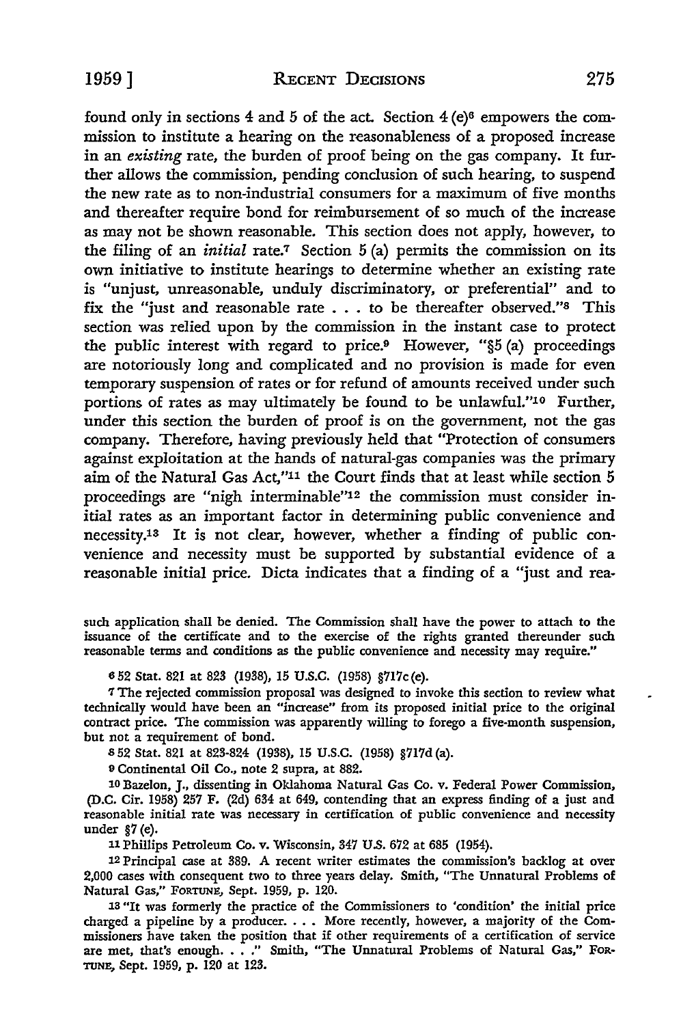found only in sections  $4$  and  $5$  of the act. Section  $4$  (e)<sup>6</sup> empowers the commission to institute a hearing on the reasonableness of a proposed increase in an *existing* rate, the burden of proof being on the gas company. It further allows the commission, pending conclusion of such hearing, to suspend the new rate as to non-industrial consumers for a maximum of five months and thereafter require bond for reimbursement of so much of the increase as may not be shown reasonable. This section does not apply, however, to the filing of an *initial* rate.7 Section 5 (a) permits the commission on its own initiative to institute hearings to determine whether an existing rate is "unjust, unreasonable, unduly discriminatory, or preferential" and to fix the "just and reasonable rate . . . to be thereafter observed."8 This section was relied upon by the commission in the instant case to protect the public interest with regard to price.9 However, "§5 (a) proceedings are notoriously long and complicated and no provision is made for even temporary suspension of rates or for refund of amounts received under such portions of rates as may ultimately be found to be unlawful."<sup>10</sup> Further, under this section the burden of proof is on the government, not the gas company. Therefore, having previously held that "Protection of consumers against exploitation at the hands of natural-gas companies was the primary aim of the Natural Gas Act,"11 the Court finds that at least while section 5 proceedings are "nigh interminable"12 the commission must consider initial rates as an important factor in determining public convenience and necessity.13 It is not clear, however, whether a finding of public convenience and necessity must be supported by substantial evidence of a reasonable initial price. Dicta indicates that a finding of a "just and rea-

such application shall be denied. The Commission shall have the power to attach to the issuance of the certificate and to the exercise of the rights granted thereunder such reasonable terms and conditions as the public convenience and necessity may require."

652 Stat. 821 at 823 (1938), 15 U.S.C. (1958) §717c(e).

'1 The rejected commission proposal was designed to invoke this section to review what technically would have been an "increase" from its proposed initial price to the original contract price. The commission was apparently willing to forego a five-month suspension, but not a requirement of bond.

<sup>8</sup>52 Stat. 821 at 823-824 (1938), 15 U.S.C. (1958) §717d (a).

<sup>9</sup>Continental Oil Co., note 2 supra, at 882.

10 Bazelon, J., dissenting in Oklahoma Natural Gas Co. v. Federal Power Commission, (D.C. Cir. 1958) 257 F. (2d) 634 at 649, contending that an express finding of a just and reasonable initial rate was necessary in certification of public convenience and necessity under §7 (e).

<sup>11</sup>Phillips Petroleum Co. v. Wisconsin, 347 U.S. 672 at 685 (1954).

12 Principal case at 389. A recent writer estimates the commission's backlog at over 2,000 cases with consequent two to three years delay. Smith, "The Unnatural Problems of Natural Gas," FORTUNE, Sept. 1959, p. 120.

13 "It was formerly the practice of the Commissioners to 'condition' the initial price charged a pipeline by a producer. • • • More recently, however, a majority of the Commissioners have taken the position that if other requirements of a certification of service are met, that's enough. . . ." Smith, "The Unnatural Problems of Natural Gas," For-TUNE, Sept. 1959, p. 120 at 123.